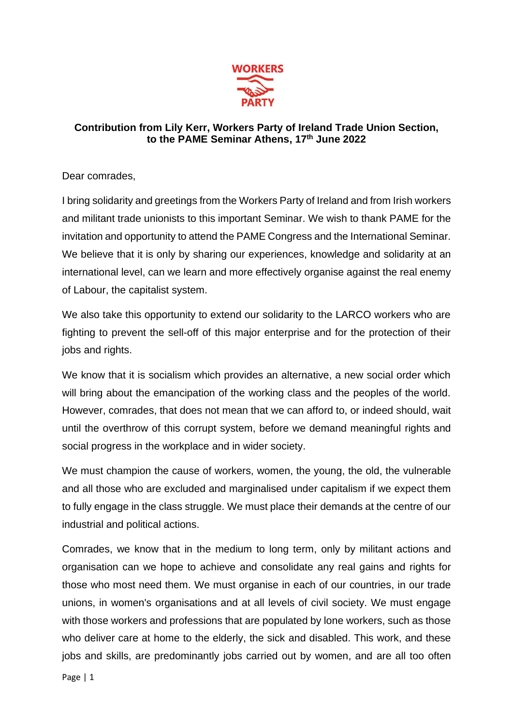

## **Contribution from Lily Kerr, Workers Party of Ireland Trade Union Section, to the PAME Seminar Athens, 17th June 2022**

Dear comrades,

I bring solidarity and greetings from the Workers Party of Ireland and from Irish workers and militant trade unionists to this important Seminar. We wish to thank PAME for the invitation and opportunity to attend the PAME Congress and the International Seminar. We believe that it is only by sharing our experiences, knowledge and solidarity at an international level, can we learn and more effectively organise against the real enemy of Labour, the capitalist system.

We also take this opportunity to extend our solidarity to the LARCO workers who are fighting to prevent the sell-off of this major enterprise and for the protection of their jobs and rights.

We know that it is socialism which provides an alternative, a new social order which will bring about the emancipation of the working class and the peoples of the world. However, comrades, that does not mean that we can afford to, or indeed should, wait until the overthrow of this corrupt system, before we demand meaningful rights and social progress in the workplace and in wider society.

We must champion the cause of workers, women, the young, the old, the vulnerable and all those who are excluded and marginalised under capitalism if we expect them to fully engage in the class struggle. We must place their demands at the centre of our industrial and political actions.

Comrades, we know that in the medium to long term, only by militant actions and organisation can we hope to achieve and consolidate any real gains and rights for those who most need them. We must organise in each of our countries, in our trade unions, in women's organisations and at all levels of civil society. We must engage with those workers and professions that are populated by lone workers, such as those who deliver care at home to the elderly, the sick and disabled. This work, and these jobs and skills, are predominantly jobs carried out by women, and are all too often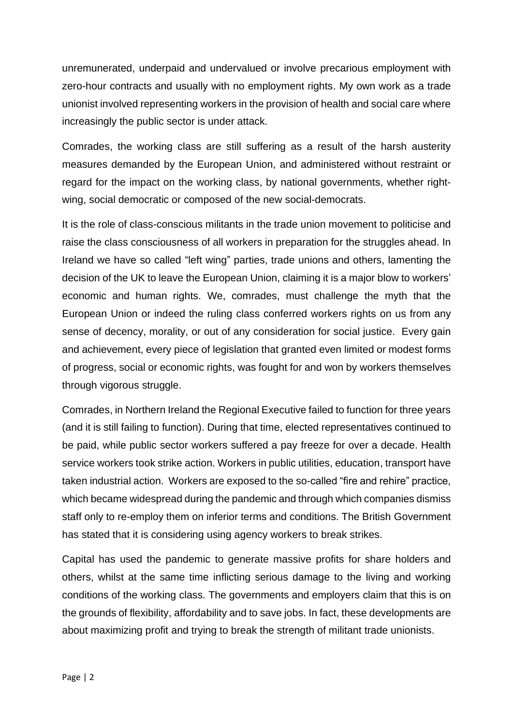unremunerated, underpaid and undervalued or involve precarious employment with zero-hour contracts and usually with no employment rights. My own work as a trade unionist involved representing workers in the provision of health and social care where increasingly the public sector is under attack.

Comrades, the working class are still suffering as a result of the harsh austerity measures demanded by the European Union, and administered without restraint or regard for the impact on the working class, by national governments, whether rightwing, social democratic or composed of the new social-democrats.

It is the role of class-conscious militants in the trade union movement to politicise and raise the class consciousness of all workers in preparation for the struggles ahead. In Ireland we have so called "left wing" parties, trade unions and others, lamenting the decision of the UK to leave the European Union, claiming it is a major blow to workers' economic and human rights. We, comrades, must challenge the myth that the European Union or indeed the ruling class conferred workers rights on us from any sense of decency, morality, or out of any consideration for social justice. Every gain and achievement, every piece of legislation that granted even limited or modest forms of progress, social or economic rights, was fought for and won by workers themselves through vigorous struggle.

Comrades, in Northern Ireland the Regional Executive failed to function for three years (and it is still failing to function). During that time, elected representatives continued to be paid, while public sector workers suffered a pay freeze for over a decade. Health service workers took strike action. Workers in public utilities, education, transport have taken industrial action. Workers are exposed to the so-called "fire and rehire" practice, which became widespread during the pandemic and through which companies dismiss staff only to re-employ them on inferior terms and conditions. The British Government has stated that it is considering using agency workers to break strikes.

Capital has used the pandemic to generate massive profits for share holders and others, whilst at the same time inflicting serious damage to the living and working conditions of the working class. The governments and employers claim that this is on the grounds of flexibility, affordability and to save jobs. In fact, these developments are about maximizing profit and trying to break the strength of militant trade unionists.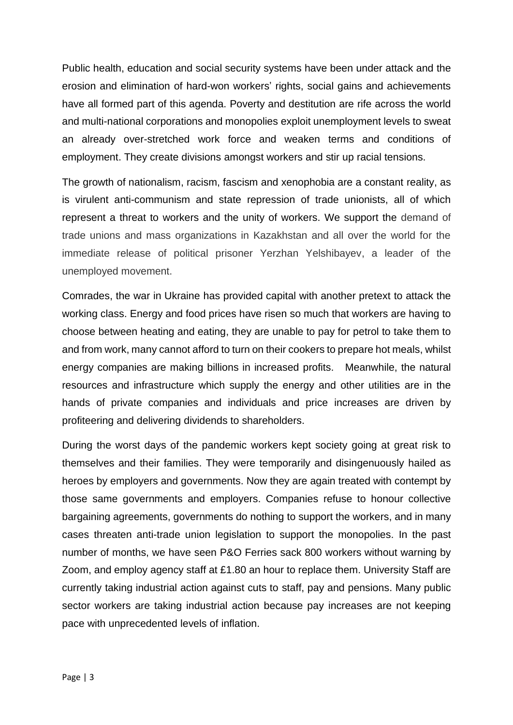Public health, education and social security systems have been under attack and the erosion and elimination of hard-won workers' rights, social gains and achievements have all formed part of this agenda. Poverty and destitution are rife across the world and multi-national corporations and monopolies exploit unemployment levels to sweat an already over-stretched work force and weaken terms and conditions of employment. They create divisions amongst workers and stir up racial tensions.

The growth of nationalism, racism, fascism and xenophobia are a constant reality, as is virulent anti-communism and state repression of trade unionists, all of which represent a threat to workers and the unity of workers. We support the demand of trade unions and mass organizations in Kazakhstan and all over the world for the immediate release of political prisoner Yerzhan Yelshibayev, a leader of the unemployed movement.

Comrades, the war in Ukraine has provided capital with another pretext to attack the working class. Energy and food prices have risen so much that workers are having to choose between heating and eating, they are unable to pay for petrol to take them to and from work, many cannot afford to turn on their cookers to prepare hot meals, whilst energy companies are making billions in increased profits. Meanwhile, the natural resources and infrastructure which supply the energy and other utilities are in the hands of private companies and individuals and price increases are driven by profiteering and delivering dividends to shareholders.

During the worst days of the pandemic workers kept society going at great risk to themselves and their families. They were temporarily and disingenuously hailed as heroes by employers and governments. Now they are again treated with contempt by those same governments and employers. Companies refuse to honour collective bargaining agreements, governments do nothing to support the workers, and in many cases threaten anti-trade union legislation to support the monopolies. In the past number of months, we have seen P&O Ferries sack 800 workers without warning by Zoom, and employ agency staff at £1.80 an hour to replace them. University Staff are currently taking industrial action against cuts to staff, pay and pensions. Many public sector workers are taking industrial action because pay increases are not keeping pace with unprecedented levels of inflation.